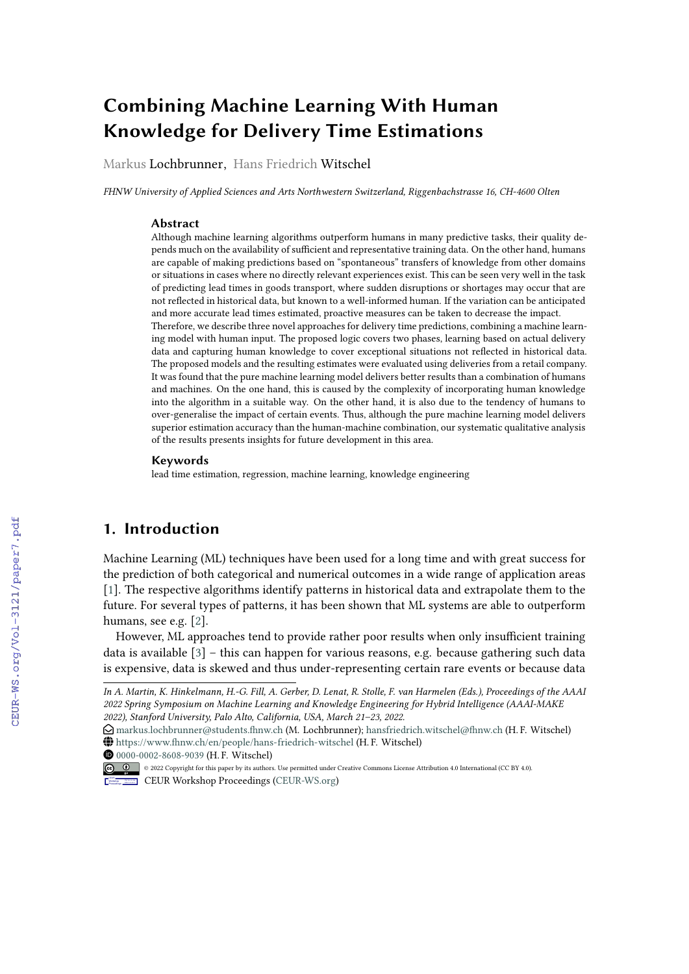# **Combining Machine Learning With Human Knowledge for Delivery Time Estimations**

Markus Lochbrunner, Hans Friedrich Witschel

*FHNW University of Applied Sciences and Arts Northwestern Switzerland, Riggenbachstrasse 16, CH-4600 Olten*

#### **Abstract**

Although machine learning algorithms outperform humans in many predictive tasks, their quality depends much on the availability of sufficient and representative training data. On the other hand, humans are capable of making predictions based on "spontaneous" transfers of knowledge from other domains or situations in cases where no directly relevant experiences exist. This can be seen very well in the task of predicting lead times in goods transport, where sudden disruptions or shortages may occur that are not reflected in historical data, but known to a well-informed human. If the variation can be anticipated and more accurate lead times estimated, proactive measures can be taken to decrease the impact. Therefore, we describe three novel approaches for delivery time predictions, combining a machine learning model with human input. The proposed logic covers two phases, learning based on actual delivery data and capturing human knowledge to cover exceptional situations not reflected in historical data. The proposed models and the resulting estimates were evaluated using deliveries from a retail company. It was found that the pure machine learning model delivers better results than a combination of humans and machines. On the one hand, this is caused by the complexity of incorporating human knowledge into the algorithm in a suitable way. On the other hand, it is also due to the tendency of humans to over-generalise the impact of certain events. Thus, although the pure machine learning model delivers superior estimation accuracy than the human-machine combination, our systematic qualitative analysis of the results presents insights for future development in this area.

#### **Keywords**

lead time estimation, regression, machine learning, knowledge engineering

# **1. Introduction**

Machine Learning (ML) techniques have been used for a long time and with great success for the prediction of both categorical and numerical outcomes in a wide range of application areas [\[1\]](#page--1-0). The respective algorithms identify patterns in historical data and extrapolate them to the future. For several types of patterns, it has been shown that ML systems are able to outperform humans, see e.g. [\[2\]](#page--1-1).

However, ML approaches tend to provide rather poor results when only insufficient training data is available [\[3\]](#page--1-2) – this can happen for various reasons, e.g. because gathering such data is expensive, data is skewed and thus under-representing certain rare events or because data

[0000-0002-8608-9039](https://orcid.org/0000-0002-8608-9039) (H. F. Witschel)

*In A. Martin, K. Hinkelmann, H.-G. Fill, A. Gerber, D. Lenat, R. Stolle, F. van Harmelen (Eds.), Proceedings of the AAAI 2022 Spring Symposium on Machine Learning and Knowledge Engineering for Hybrid Intelligence (AAAI-MAKE 2022), Stanford University, Palo Alto, California, USA, March 21–23, 2022.*

 $\bigcirc$  [markus.lochbrunner@students.fhnw.ch](mailto:markus.lochbrunner@students.fhnw.ch) (M. Lochbrunner); hansfriedrich.witschel@flnw.ch (H. F. Witschel) ~ <https://www.fhnw.ch/en/people/hans-friedrich-witschel> (H. F. Witschel)

<sup>©</sup> 2022 Copyright for this paper by its authors. Use permitted under Creative Commons License Attribution 4.0 International (CC BY 4.0). CEUR Workshop [Proceedings](http://ceur-ws.org) [\(CEUR-WS.org\)](http://ceur-ws.org)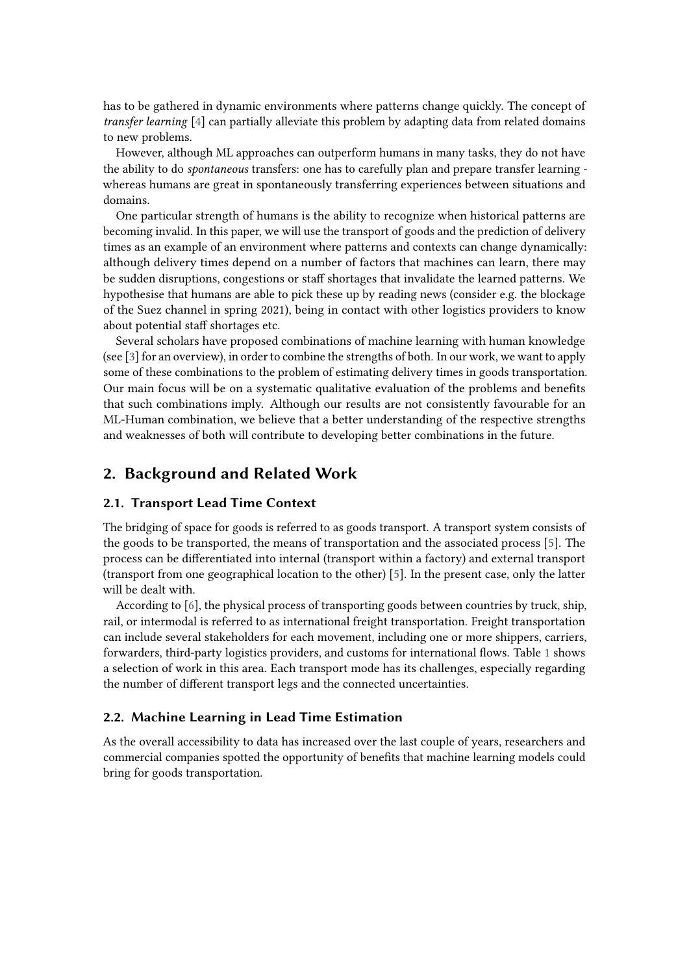has to be gathered in dynamic environments where patterns change quickly. The concept of *transfer learning* [\[4\]](#page-11-0) can partially alleviate this problem by adapting data from related domains to new problems.

However, although ML approaches can outperform humans in many tasks, they do not have the ability to do *spontaneous* transfers: one has to carefully plan and prepare transfer learning whereas humans are great in spontaneously transferring experiences between situations and domains.

One particular strength of humans is the ability to recognize when historical patterns are becoming invalid. In this paper, we will use the transport of goods and the prediction of delivery times as an example of an environment where patterns and contexts can change dynamically: although delivery times depend on a number of factors that machines can learn, there may be sudden disruptions, congestions or staff shortages that invalidate the learned patterns. We hypothesise that humans are able to pick these up by reading news (consider e.g. the blockage of the Suez channel in spring 2021), being in contact with other logistics providers to know about potential staff shortages etc.

Several scholars have proposed combinations of machine learning with human knowledge (see [\[3\]](#page-11-1) for an overview), in order to combine the strengths of both. In our work, we want to apply some of these combinations to the problem of estimating delivery times in goods transportation. Our main focus will be on a systematic qualitative evaluation of the problems and benefits that such combinations imply. Although our results are not consistently favourable for an ML-Human combination, we believe that a better understanding of the respective strengths and weaknesses of both will contribute to developing better combinations in the future.

# **2. Background and Related Work**

#### **2.1. Transport Lead Time Context**

The bridging of space for goods is referred to as goods transport. A transport system consists of the goods to be transported, the means of transportation and the associated process [\[5\]](#page-11-2). The process can be differentiated into internal (transport within a factory) and external transport (transport from one geographical location to the other) [\[5\]](#page-11-2). In the present case, only the latter will be dealt with.

According to [\[6\]](#page-11-3), the physical process of transporting goods between countries by truck, ship, rail, or intermodal is referred to as international freight transportation. Freight transportation can include several stakeholders for each movement, including one or more shippers, carriers, forwarders, third-party logistics providers, and customs for international flows. Table [1](#page-2-0) shows a selection of work in this area. Each transport mode has its challenges, especially regarding the number of different transport legs and the connected uncertainties.

#### **2.2. Machine Learning in Lead Time Estimation**

As the overall accessibility to data has increased over the last couple of years, researchers and commercial companies spotted the opportunity of benefits that machine learning models could bring for goods transportation.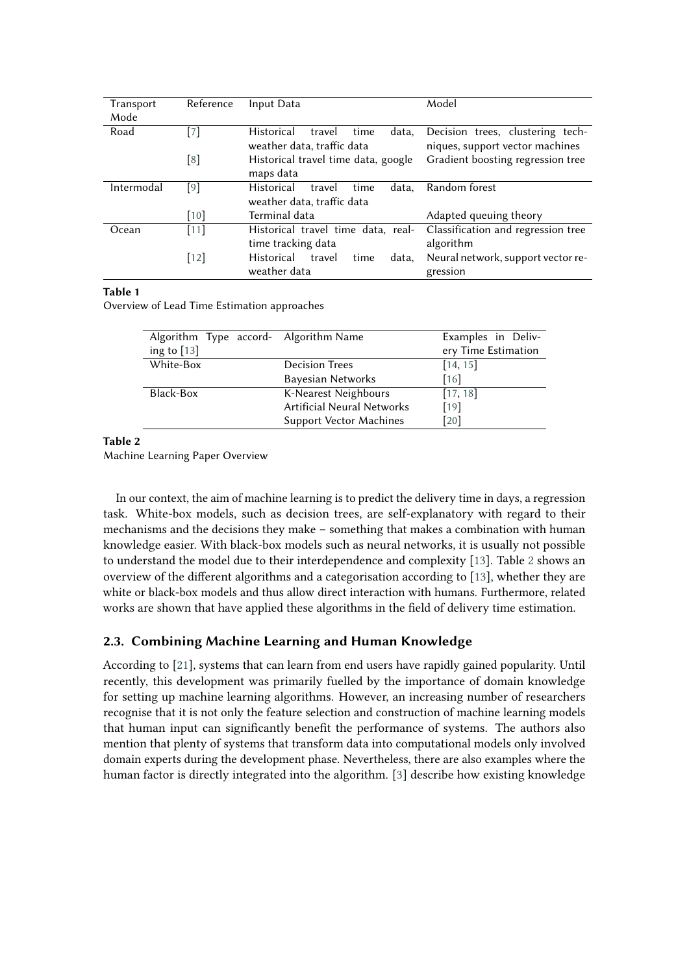| Transport  | Reference          | Input Data                                   | Model                              |  |  |  |  |
|------------|--------------------|----------------------------------------------|------------------------------------|--|--|--|--|
| Mode       |                    |                                              |                                    |  |  |  |  |
| Road       | [7]                | Historical<br>data,<br>travel<br>time        | Decision trees, clustering tech-   |  |  |  |  |
|            |                    | weather data, traffic data                   | niques, support vector machines    |  |  |  |  |
|            | [8]                | Historical travel time data, google          | Gradient boosting regression tree  |  |  |  |  |
|            |                    | maps data                                    |                                    |  |  |  |  |
| Intermodal | [9]                | <b>Historical</b><br>data.<br>travel<br>time | Random forest                      |  |  |  |  |
|            |                    | weather data, traffic data                   |                                    |  |  |  |  |
|            | $\lceil 10 \rceil$ | Terminal data                                | Adapted queuing theory             |  |  |  |  |
| Ocean      | $[11]$             | Historical travel time data, real-           | Classification and regression tree |  |  |  |  |
|            |                    | time tracking data                           | algorithm                          |  |  |  |  |
|            | $[12]$             | <b>Historical</b><br>travel<br>time<br>data, | Neural network, support vector re- |  |  |  |  |
|            |                    | weather data                                 | gression                           |  |  |  |  |

#### **Table 1**

<span id="page-2-0"></span>Overview of Lead Time Estimation approaches

| Algorithm Type accord- Algorithm Name |                                | Examples in Deliv-  |
|---------------------------------------|--------------------------------|---------------------|
| ing to $[13]$                         |                                | ery Time Estimation |
| White-Box                             | <b>Decision Trees</b>          | [14, 15]            |
|                                       | Bayesian Networks              | [16]                |
| Black-Box                             | K-Nearest Neighbours           | [17, 18]            |
|                                       | Artificial Neural Networks     | $[19]$              |
|                                       | <b>Support Vector Machines</b> | [20]                |

#### **Table 2**

<span id="page-2-1"></span>Machine Learning Paper Overview

In our context, the aim of machine learning is to predict the delivery time in days, a regression task. White-box models, such as decision trees, are self-explanatory with regard to their mechanisms and the decisions they make – something that makes a combination with human knowledge easier. With black-box models such as neural networks, it is usually not possible to understand the model due to their interdependence and complexity [\[13\]](#page-12-3). Table [2](#page-2-1) shows an overview of the different algorithms and a categorisation according to [\[13\]](#page-12-3), whether they are white or black-box models and thus allow direct interaction with humans. Furthermore, related works are shown that have applied these algorithms in the field of delivery time estimation.

## **2.3. Combining Machine Learning and Human Knowledge**

According to [\[21\]](#page-12-11), systems that can learn from end users have rapidly gained popularity. Until recently, this development was primarily fuelled by the importance of domain knowledge for setting up machine learning algorithms. However, an increasing number of researchers recognise that it is not only the feature selection and construction of machine learning models that human input can significantly benefit the performance of systems. The authors also mention that plenty of systems that transform data into computational models only involved domain experts during the development phase. Nevertheless, there are also examples where the human factor is directly integrated into the algorithm. [\[3\]](#page-11-1) describe how existing knowledge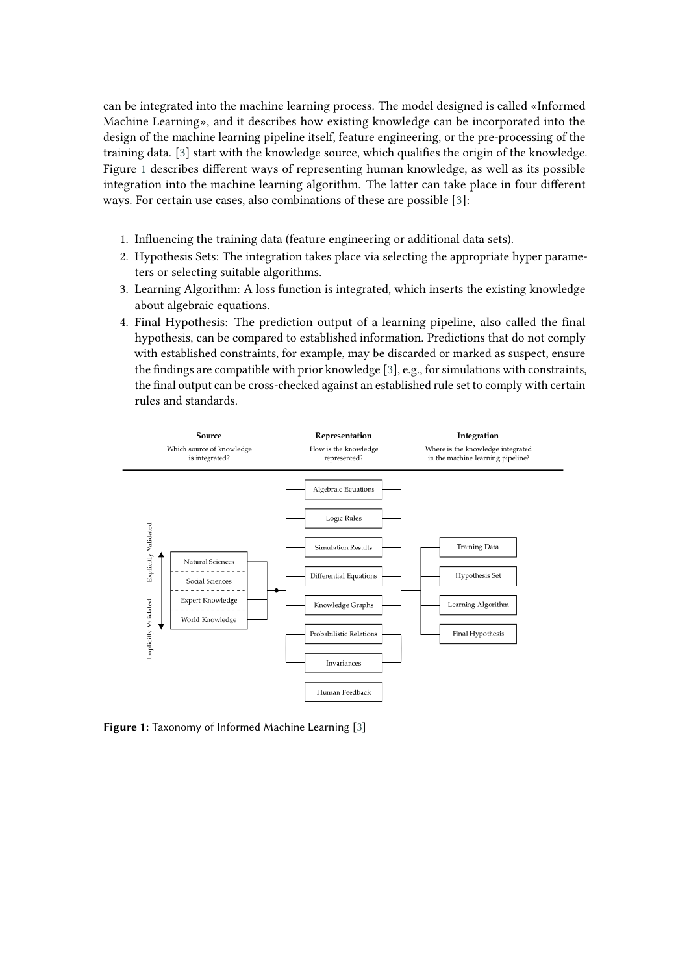can be integrated into the machine learning process. The model designed is called «Informed Machine Learning», and it describes how existing knowledge can be incorporated into the design of the machine learning pipeline itself, feature engineering, or the pre-processing of the training data. [\[3\]](#page-11-1) start with the knowledge source, which qualifies the origin of the knowledge. Figure [1](#page-3-0) describes different ways of representing human knowledge, as well as its possible integration into the machine learning algorithm. The latter can take place in four different ways. For certain use cases, also combinations of these are possible [\[3\]](#page-11-1):

- 1. Influencing the training data (feature engineering or additional data sets).
- 2. Hypothesis Sets: The integration takes place via selecting the appropriate hyper parameters or selecting suitable algorithms.
- 3. Learning Algorithm: A loss function is integrated, which inserts the existing knowledge about algebraic equations.
- 4. Final Hypothesis: The prediction output of a learning pipeline, also called the final hypothesis, can be compared to established information. Predictions that do not comply with established constraints, for example, may be discarded or marked as suspect, ensure the findings are compatible with prior knowledge [\[3\]](#page-11-1), e.g., for simulations with constraints, the final output can be cross-checked against an established rule set to comply with certain rules and standards.



<span id="page-3-0"></span>**Figure 1:** Taxonomy of Informed Machine Learning [\[3\]](#page-11-1)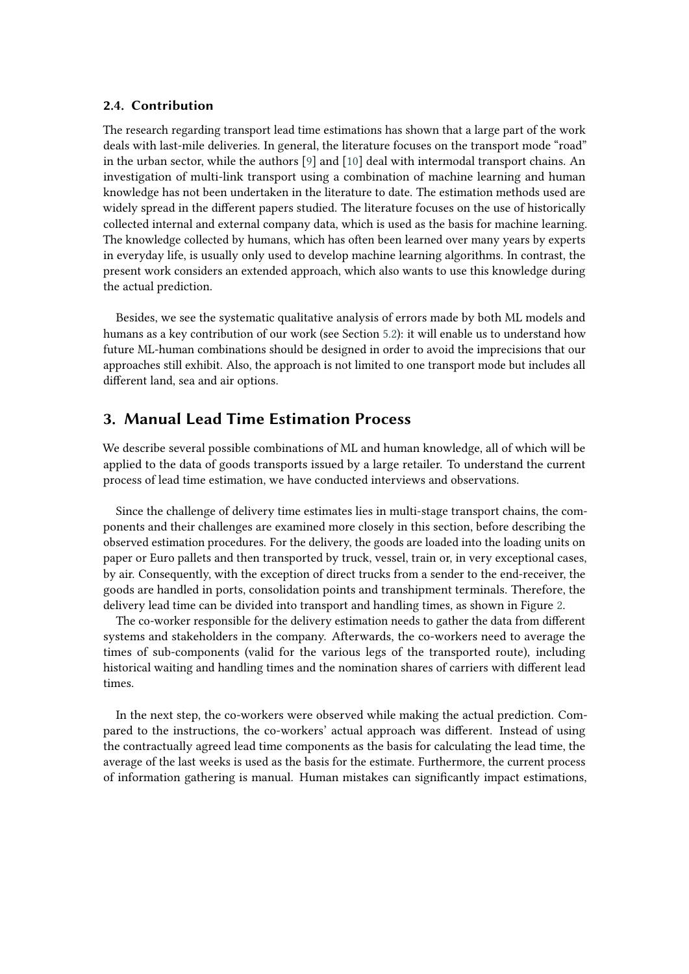#### **2.4. Contribution**

The research regarding transport lead time estimations has shown that a large part of the work deals with last-mile deliveries. In general, the literature focuses on the transport mode "road" in the urban sector, while the authors [\[9\]](#page-11-6) and [\[10\]](#page-12-0) deal with intermodal transport chains. An investigation of multi-link transport using a combination of machine learning and human knowledge has not been undertaken in the literature to date. The estimation methods used are widely spread in the different papers studied. The literature focuses on the use of historically collected internal and external company data, which is used as the basis for machine learning. The knowledge collected by humans, which has often been learned over many years by experts in everyday life, is usually only used to develop machine learning algorithms. In contrast, the present work considers an extended approach, which also wants to use this knowledge during the actual prediction.

Besides, we see the systematic qualitative analysis of errors made by both ML models and humans as a key contribution of our work (see Section [5.2\)](#page-9-0): it will enable us to understand how future ML-human combinations should be designed in order to avoid the imprecisions that our approaches still exhibit. Also, the approach is not limited to one transport mode but includes all different land, sea and air options.

# <span id="page-4-0"></span>**3. Manual Lead Time Estimation Process**

We describe several possible combinations of ML and human knowledge, all of which will be applied to the data of goods transports issued by a large retailer. To understand the current process of lead time estimation, we have conducted interviews and observations.

Since the challenge of delivery time estimates lies in multi-stage transport chains, the components and their challenges are examined more closely in this section, before describing the observed estimation procedures. For the delivery, the goods are loaded into the loading units on paper or Euro pallets and then transported by truck, vessel, train or, in very exceptional cases, by air. Consequently, with the exception of direct trucks from a sender to the end-receiver, the goods are handled in ports, consolidation points and transhipment terminals. Therefore, the delivery lead time can be divided into transport and handling times, as shown in Figure [2.](#page-5-0)

The co-worker responsible for the delivery estimation needs to gather the data from different systems and stakeholders in the company. Afterwards, the co-workers need to average the times of sub-components (valid for the various legs of the transported route), including historical waiting and handling times and the nomination shares of carriers with different lead times.

In the next step, the co-workers were observed while making the actual prediction. Compared to the instructions, the co-workers' actual approach was different. Instead of using the contractually agreed lead time components as the basis for calculating the lead time, the average of the last weeks is used as the basis for the estimate. Furthermore, the current process of information gathering is manual. Human mistakes can significantly impact estimations,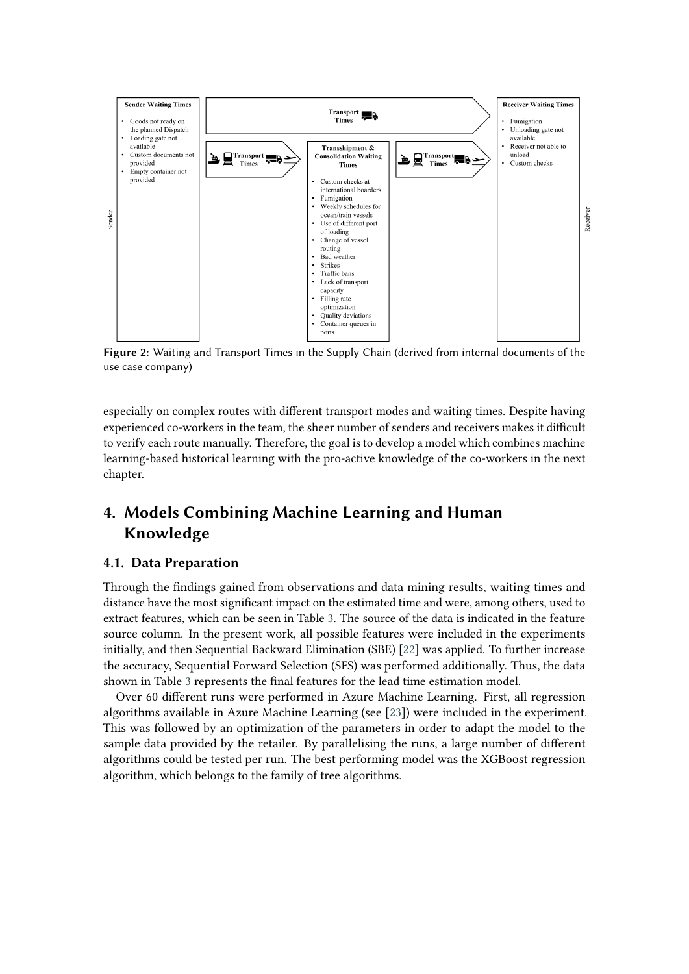

<span id="page-5-0"></span>**Figure 2:** Waiting and Transport Times in the Supply Chain (derived from internal documents of the use case company)

especially on complex routes with different transport modes and waiting times. Despite having experienced co-workers in the team, the sheer number of senders and receivers makes it difficult to verify each route manually. Therefore, the goal is to develop a model which combines machine learning-based historical learning with the pro-active knowledge of the co-workers in the next chapter.

# **4. Models Combining Machine Learning and Human Knowledge**

## **4.1. Data Preparation**

Through the findings gained from observations and data mining results, waiting times and distance have the most significant impact on the estimated time and were, among others, used to extract features, which can be seen in Table [3.](#page-6-0) The source of the data is indicated in the feature source column. In the present work, all possible features were included in the experiments initially, and then Sequential Backward Elimination (SBE) [\[22\]](#page-12-12) was applied. To further increase the accuracy, Sequential Forward Selection (SFS) was performed additionally. Thus, the data shown in Table [3](#page-6-0) represents the final features for the lead time estimation model.

Over 60 different runs were performed in Azure Machine Learning. First, all regression algorithms available in Azure Machine Learning (see [\[23\]](#page-13-0)) were included in the experiment. This was followed by an optimization of the parameters in order to adapt the model to the sample data provided by the retailer. By parallelising the runs, a large number of different algorithms could be tested per run. The best performing model was the XGBoost regression algorithm, which belongs to the family of tree algorithms.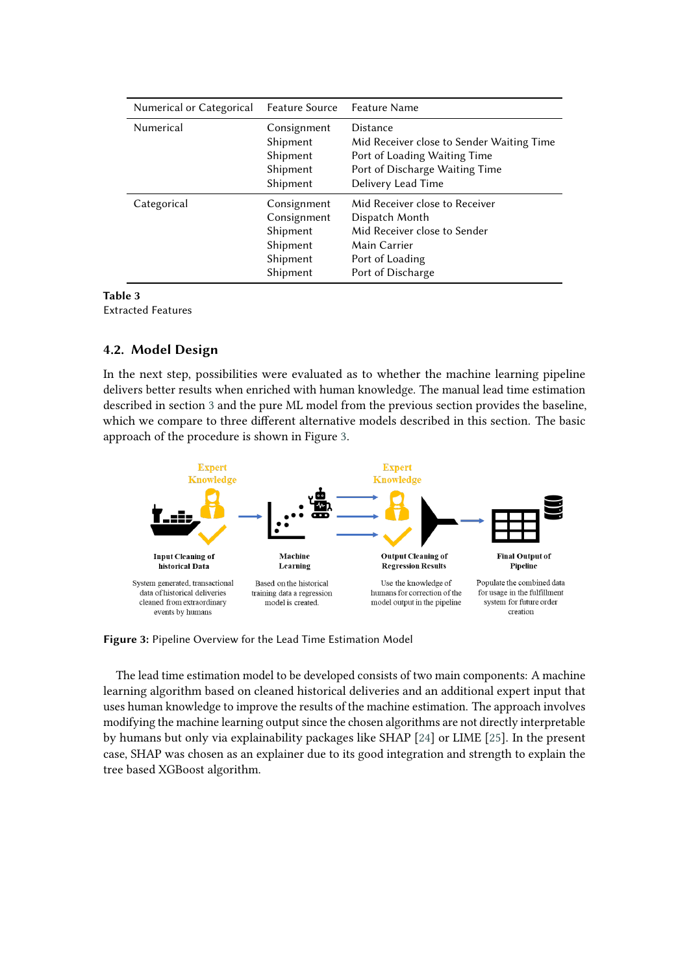| Numerical or Categorical | <b>Feature Source</b>                                                      | Feature Name                                                                                                                                         |  |
|--------------------------|----------------------------------------------------------------------------|------------------------------------------------------------------------------------------------------------------------------------------------------|--|
| Numerical                | Consignment<br>Shipment<br>Shipment<br>Shipment<br>Shipment                | <b>Distance</b><br>Mid Receiver close to Sender Waiting Time<br>Port of Loading Waiting Time<br>Port of Discharge Waiting Time<br>Delivery Lead Time |  |
| Categorical              | Consignment<br>Consignment<br>Shipment<br>Shipment<br>Shipment<br>Shipment | Mid Receiver close to Receiver<br>Dispatch Month<br>Mid Receiver close to Sender<br>Main Carrier<br>Port of Loading<br>Port of Discharge             |  |

<span id="page-6-0"></span>**Table 3** Extracted Features

## **4.2. Model Design**

In the next step, possibilities were evaluated as to whether the machine learning pipeline delivers better results when enriched with human knowledge. The manual lead time estimation described in section [3](#page-4-0) and the pure ML model from the previous section provides the baseline, which we compare to three different alternative models described in this section. The basic approach of the procedure is shown in Figure [3.](#page-6-1)



<span id="page-6-1"></span>**Figure 3:** Pipeline Overview for the Lead Time Estimation Model

The lead time estimation model to be developed consists of two main components: A machine learning algorithm based on cleaned historical deliveries and an additional expert input that uses human knowledge to improve the results of the machine estimation. The approach involves modifying the machine learning output since the chosen algorithms are not directly interpretable by humans but only via explainability packages like SHAP [\[24\]](#page-13-1) or LIME [\[25\]](#page-13-2). In the present case, SHAP was chosen as an explainer due to its good integration and strength to explain the tree based XGBoost algorithm.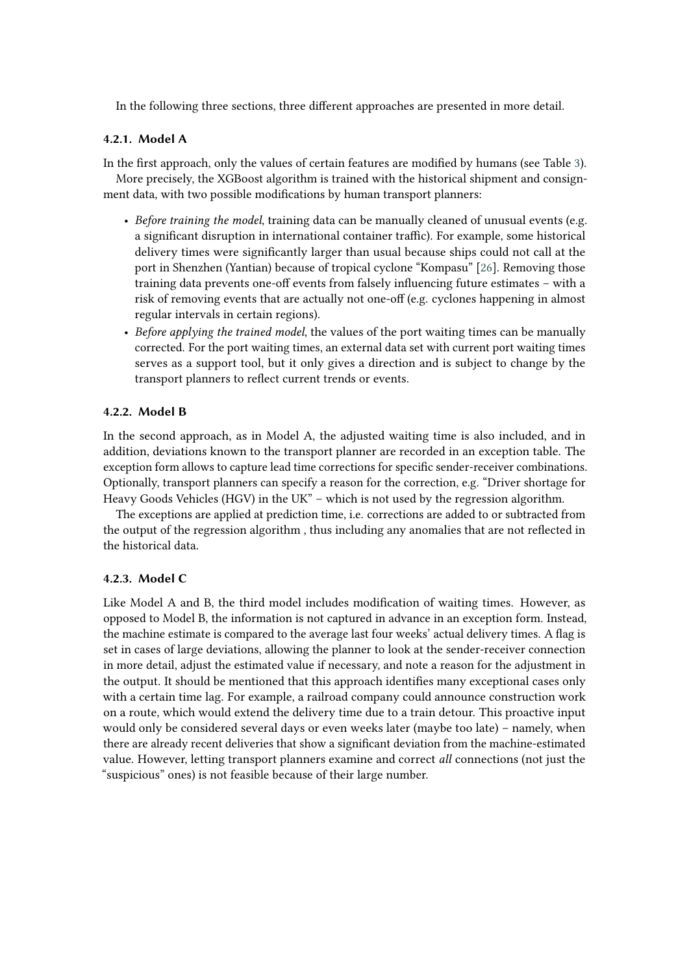In the following three sections, three different approaches are presented in more detail.

#### **4.2.1. Model A**

In the first approach, only the values of certain features are modified by humans (see Table [3\)](#page-6-0). More precisely, the XGBoost algorithm is trained with the historical shipment and consignment data, with two possible modifications by human transport planners:

- *Before training the model*, training data can be manually cleaned of unusual events (e.g. a significant disruption in international container traffic). For example, some historical delivery times were significantly larger than usual because ships could not call at the port in Shenzhen (Yantian) because of tropical cyclone "Kompasu" [\[26\]](#page-13-3). Removing those training data prevents one-off events from falsely influencing future estimates – with a risk of removing events that are actually not one-off (e.g. cyclones happening in almost regular intervals in certain regions).
- *Before applying the trained model*, the values of the port waiting times can be manually corrected. For the port waiting times, an external data set with current port waiting times serves as a support tool, but it only gives a direction and is subject to change by the transport planners to reflect current trends or events.

#### **4.2.2. Model B**

In the second approach, as in Model A, the adjusted waiting time is also included, and in addition, deviations known to the transport planner are recorded in an exception table. The exception form allows to capture lead time corrections for specific sender-receiver combinations. Optionally, transport planners can specify a reason for the correction, e.g. "Driver shortage for Heavy Goods Vehicles (HGV) in the UK" – which is not used by the regression algorithm.

The exceptions are applied at prediction time, i.e. corrections are added to or subtracted from the output of the regression algorithm , thus including any anomalies that are not reflected in the historical data.

#### **4.2.3. Model C**

Like Model A and B, the third model includes modification of waiting times. However, as opposed to Model B, the information is not captured in advance in an exception form. Instead, the machine estimate is compared to the average last four weeks' actual delivery times. A flag is set in cases of large deviations, allowing the planner to look at the sender-receiver connection in more detail, adjust the estimated value if necessary, and note a reason for the adjustment in the output. It should be mentioned that this approach identifies many exceptional cases only with a certain time lag. For example, a railroad company could announce construction work on a route, which would extend the delivery time due to a train detour. This proactive input would only be considered several days or even weeks later (maybe too late) – namely, when there are already recent deliveries that show a significant deviation from the machine-estimated value. However, letting transport planners examine and correct *all* connections (not just the "suspicious" ones) is not feasible because of their large number.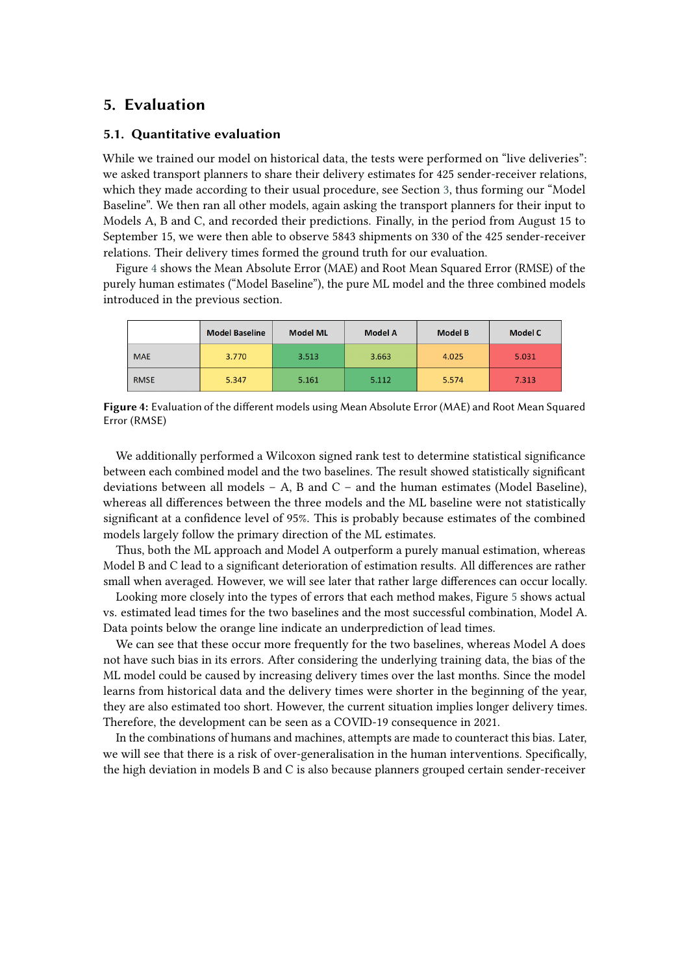# **5. Evaluation**

## **5.1. Quantitative evaluation**

While we trained our model on historical data, the tests were performed on "live deliveries": we asked transport planners to share their delivery estimates for 425 sender-receiver relations, which they made according to their usual procedure, see Section [3,](#page-4-0) thus forming our "Model Baseline". We then ran all other models, again asking the transport planners for their input to Models A, B and C, and recorded their predictions. Finally, in the period from August 15 to September 15, we were then able to observe 5843 shipments on 330 of the 425 sender-receiver relations. Their delivery times formed the ground truth for our evaluation.

Figure [4](#page-8-0) shows the Mean Absolute Error (MAE) and Root Mean Squared Error (RMSE) of the purely human estimates ("Model Baseline"), the pure ML model and the three combined models introduced in the previous section.

|             | <b>Model Baseline</b> | <b>Model ML</b> | <b>Model A</b> | <b>Model B</b> | <b>Model C</b> |
|-------------|-----------------------|-----------------|----------------|----------------|----------------|
| <b>MAE</b>  | 3.770                 | 3.513           | 3.663          | 4.025          | 5.031          |
| <b>RMSE</b> | 5.347                 | 5.161           | 5.112          | 5.574          | 7.313          |

<span id="page-8-0"></span>**Figure 4:** Evaluation of the different models using Mean Absolute Error (MAE) and Root Mean Squared Error (RMSE)

We additionally performed a Wilcoxon signed rank test to determine statistical significance between each combined model and the two baselines. The result showed statistically significant deviations between all models  $- A$ , B and  $C -$  and the human estimates (Model Baseline), whereas all differences between the three models and the ML baseline were not statistically significant at a confidence level of 95%. This is probably because estimates of the combined models largely follow the primary direction of the ML estimates.

Thus, both the ML approach and Model A outperform a purely manual estimation, whereas Model B and C lead to a significant deterioration of estimation results. All differences are rather small when averaged. However, we will see later that rather large differences can occur locally.

Looking more closely into the types of errors that each method makes, Figure [5](#page-9-1) shows actual vs. estimated lead times for the two baselines and the most successful combination, Model A. Data points below the orange line indicate an underprediction of lead times.

We can see that these occur more frequently for the two baselines, whereas Model A does not have such bias in its errors. After considering the underlying training data, the bias of the ML model could be caused by increasing delivery times over the last months. Since the model learns from historical data and the delivery times were shorter in the beginning of the year, they are also estimated too short. However, the current situation implies longer delivery times. Therefore, the development can be seen as a COVID-19 consequence in 2021.

In the combinations of humans and machines, attempts are made to counteract this bias. Later, we will see that there is a risk of over-generalisation in the human interventions. Specifically, the high deviation in models B and C is also because planners grouped certain sender-receiver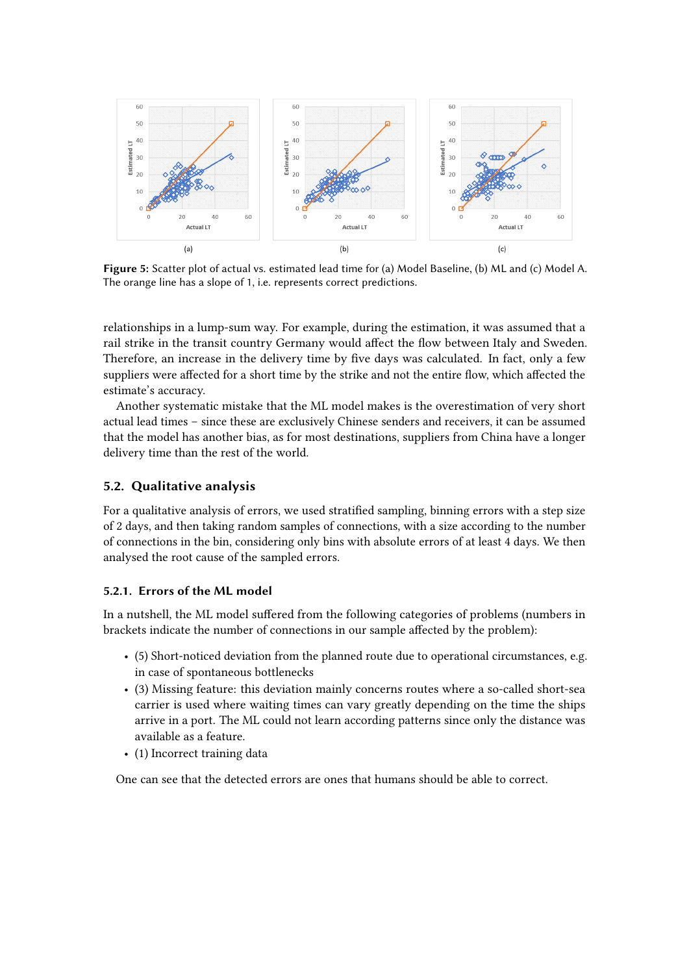

<span id="page-9-1"></span>**Figure 5:** Scatter plot of actual vs. estimated lead time for (a) Model Baseline, (b) ML and (c) Model A. The orange line has a slope of 1, i.e. represents correct predictions.

relationships in a lump-sum way. For example, during the estimation, it was assumed that a rail strike in the transit country Germany would affect the flow between Italy and Sweden. Therefore, an increase in the delivery time by five days was calculated. In fact, only a few suppliers were affected for a short time by the strike and not the entire flow, which affected the estimate's accuracy.

Another systematic mistake that the ML model makes is the overestimation of very short actual lead times – since these are exclusively Chinese senders and receivers, it can be assumed that the model has another bias, as for most destinations, suppliers from China have a longer delivery time than the rest of the world.

### <span id="page-9-0"></span>**5.2. Qualitative analysis**

For a qualitative analysis of errors, we used stratified sampling, binning errors with a step size of 2 days, and then taking random samples of connections, with a size according to the number of connections in the bin, considering only bins with absolute errors of at least 4 days. We then analysed the root cause of the sampled errors.

#### **5.2.1. Errors of the ML model**

In a nutshell, the ML model suffered from the following categories of problems (numbers in brackets indicate the number of connections in our sample affected by the problem):

- (5) Short-noticed deviation from the planned route due to operational circumstances, e.g. in case of spontaneous bottlenecks
- (3) Missing feature: this deviation mainly concerns routes where a so-called short-sea carrier is used where waiting times can vary greatly depending on the time the ships arrive in a port. The ML could not learn according patterns since only the distance was available as a feature.
- (1) Incorrect training data

One can see that the detected errors are ones that humans should be able to correct.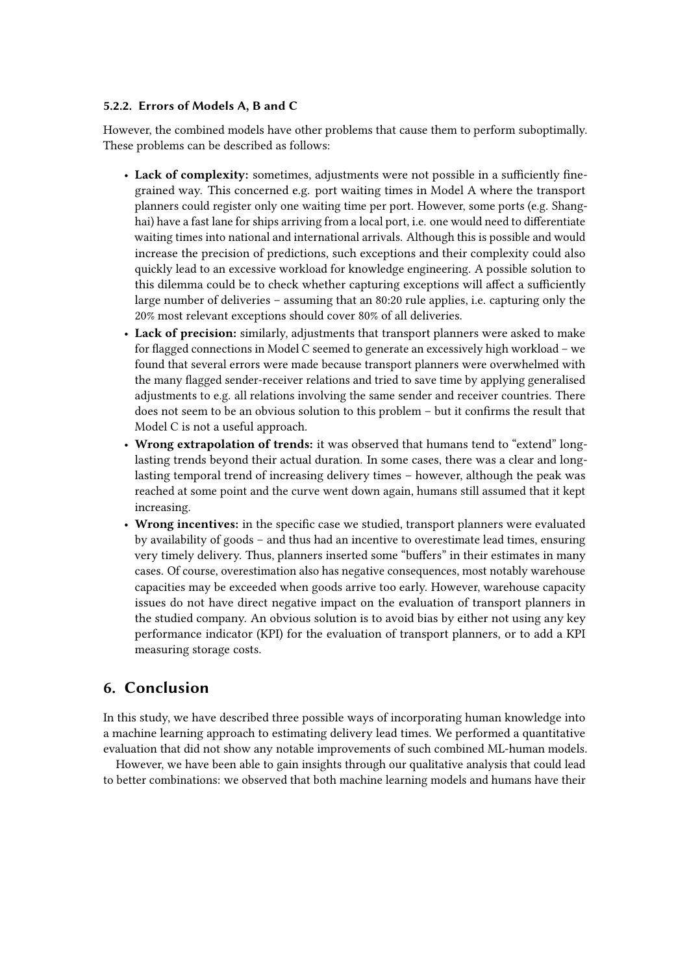#### **5.2.2. Errors of Models A, B and C**

However, the combined models have other problems that cause them to perform suboptimally. These problems can be described as follows:

- **Lack of complexity:** sometimes, adjustments were not possible in a sufficiently finegrained way. This concerned e.g. port waiting times in Model A where the transport planners could register only one waiting time per port. However, some ports (e.g. Shanghai) have a fast lane for ships arriving from a local port, i.e. one would need to differentiate waiting times into national and international arrivals. Although this is possible and would increase the precision of predictions, such exceptions and their complexity could also quickly lead to an excessive workload for knowledge engineering. A possible solution to this dilemma could be to check whether capturing exceptions will affect a sufficiently large number of deliveries – assuming that an 80:20 rule applies, i.e. capturing only the 20% most relevant exceptions should cover 80% of all deliveries.
- **Lack of precision:** similarly, adjustments that transport planners were asked to make for flagged connections in Model C seemed to generate an excessively high workload – we found that several errors were made because transport planners were overwhelmed with the many flagged sender-receiver relations and tried to save time by applying generalised adjustments to e.g. all relations involving the same sender and receiver countries. There does not seem to be an obvious solution to this problem – but it confirms the result that Model C is not a useful approach.
- **Wrong extrapolation of trends:** it was observed that humans tend to "extend" longlasting trends beyond their actual duration. In some cases, there was a clear and longlasting temporal trend of increasing delivery times – however, although the peak was reached at some point and the curve went down again, humans still assumed that it kept increasing.
- **Wrong incentives:** in the specific case we studied, transport planners were evaluated by availability of goods – and thus had an incentive to overestimate lead times, ensuring very timely delivery. Thus, planners inserted some "buffers" in their estimates in many cases. Of course, overestimation also has negative consequences, most notably warehouse capacities may be exceeded when goods arrive too early. However, warehouse capacity issues do not have direct negative impact on the evaluation of transport planners in the studied company. An obvious solution is to avoid bias by either not using any key performance indicator (KPI) for the evaluation of transport planners, or to add a KPI measuring storage costs.

# **6. Conclusion**

In this study, we have described three possible ways of incorporating human knowledge into a machine learning approach to estimating delivery lead times. We performed a quantitative evaluation that did not show any notable improvements of such combined ML-human models.

However, we have been able to gain insights through our qualitative analysis that could lead to better combinations: we observed that both machine learning models and humans have their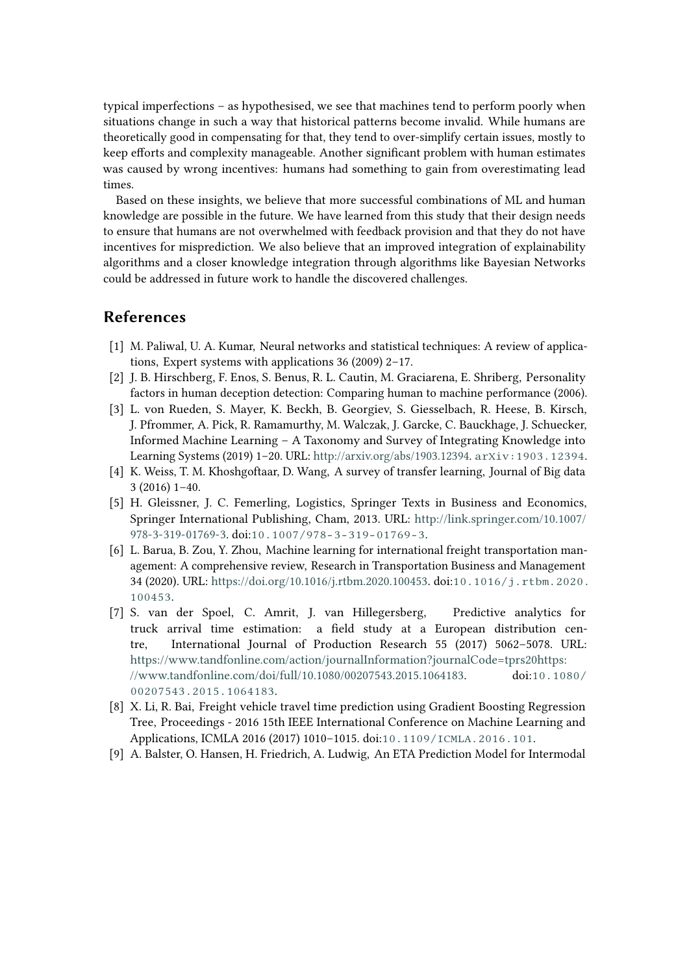typical imperfections – as hypothesised, we see that machines tend to perform poorly when situations change in such a way that historical patterns become invalid. While humans are theoretically good in compensating for that, they tend to over-simplify certain issues, mostly to keep efforts and complexity manageable. Another significant problem with human estimates was caused by wrong incentives: humans had something to gain from overestimating lead times.

Based on these insights, we believe that more successful combinations of ML and human knowledge are possible in the future. We have learned from this study that their design needs to ensure that humans are not overwhelmed with feedback provision and that they do not have incentives for misprediction. We also believe that an improved integration of explainability algorithms and a closer knowledge integration through algorithms like Bayesian Networks could be addressed in future work to handle the discovered challenges.

# **References**

- [1] M. Paliwal, U. A. Kumar, Neural networks and statistical techniques: A review of applications, Expert systems with applications 36 (2009) 2–17.
- [2] J. B. Hirschberg, F. Enos, S. Benus, R. L. Cautin, M. Graciarena, E. Shriberg, Personality factors in human deception detection: Comparing human to machine performance (2006).
- <span id="page-11-1"></span>[3] L. von Rueden, S. Mayer, K. Beckh, B. Georgiev, S. Giesselbach, R. Heese, B. Kirsch, J. Pfrommer, A. Pick, R. Ramamurthy, M. Walczak, J. Garcke, C. Bauckhage, J. Schuecker, Informed Machine Learning – A Taxonomy and Survey of Integrating Knowledge into Learning Systems (2019) 1–20. URL: [http://arxiv.org/abs/1903.12394.](http://arxiv.org/abs/1903.12394) [arXiv:1903.12394](http://arxiv.org/abs/1903.12394).
- <span id="page-11-0"></span>[4] K. Weiss, T. M. Khoshgoftaar, D. Wang, A survey of transfer learning, Journal of Big data 3 (2016) 1–40.
- <span id="page-11-2"></span>[5] H. Gleissner, J. C. Femerling, Logistics, Springer Texts in Business and Economics, Springer International Publishing, Cham, 2013. URL: [http://link.springer.com/10.1007/](http://link.springer.com/10.1007/978-3-319-01769-3) [978-3-319-01769-3.](http://link.springer.com/10.1007/978-3-319-01769-3) doi:[10.1007/978-3-319-01769-3](http://dx.doi.org/10.1007/978-3-319-01769-3).
- <span id="page-11-3"></span>[6] L. Barua, B. Zou, Y. Zhou, Machine learning for international freight transportation management: A comprehensive review, Research in Transportation Business and Management 34 (2020). URL: [https://doi.org/10.1016/j.rtbm.2020.100453.](https://doi.org/10.1016/j.rtbm.2020.100453) doi:[10.1016/j.rtbm.2020.](http://dx.doi.org/10.1016/j.rtbm.2020.100453) [100453](http://dx.doi.org/10.1016/j.rtbm.2020.100453).
- <span id="page-11-4"></span>[7] S. van der Spoel, C. Amrit, J. van Hillegersberg, Predictive analytics for truck arrival time estimation: a field study at a European distribution centre, International Journal of Production Research 55 (2017) 5062–5078. URL: [https://www.tandfonline.com/action/journalInformation?journalCode=tprs20https:](https://www.tandfonline.com/action/journalInformation?journalCode=tprs20 https://www.tandfonline.com/doi/full/10.1080/00207543.2015.1064183) [//www.tandfonline.com/doi/full/10.1080/00207543.2015.1064183.](https://www.tandfonline.com/action/journalInformation?journalCode=tprs20 https://www.tandfonline.com/doi/full/10.1080/00207543.2015.1064183) doi:[10.1080/](http://dx.doi.org/10.1080/00207543.2015.1064183) [00207543.2015.1064183](http://dx.doi.org/10.1080/00207543.2015.1064183).
- <span id="page-11-5"></span>[8] X. Li, R. Bai, Freight vehicle travel time prediction using Gradient Boosting Regression Tree, Proceedings - 2016 15th IEEE International Conference on Machine Learning and Applications, ICMLA 2016 (2017) 1010–1015. doi:[10.1109/ICMLA.2016.101](http://dx.doi.org/10.1109/ICMLA.2016.101).
- <span id="page-11-6"></span>[9] A. Balster, O. Hansen, H. Friedrich, A. Ludwig, An ETA Prediction Model for Intermodal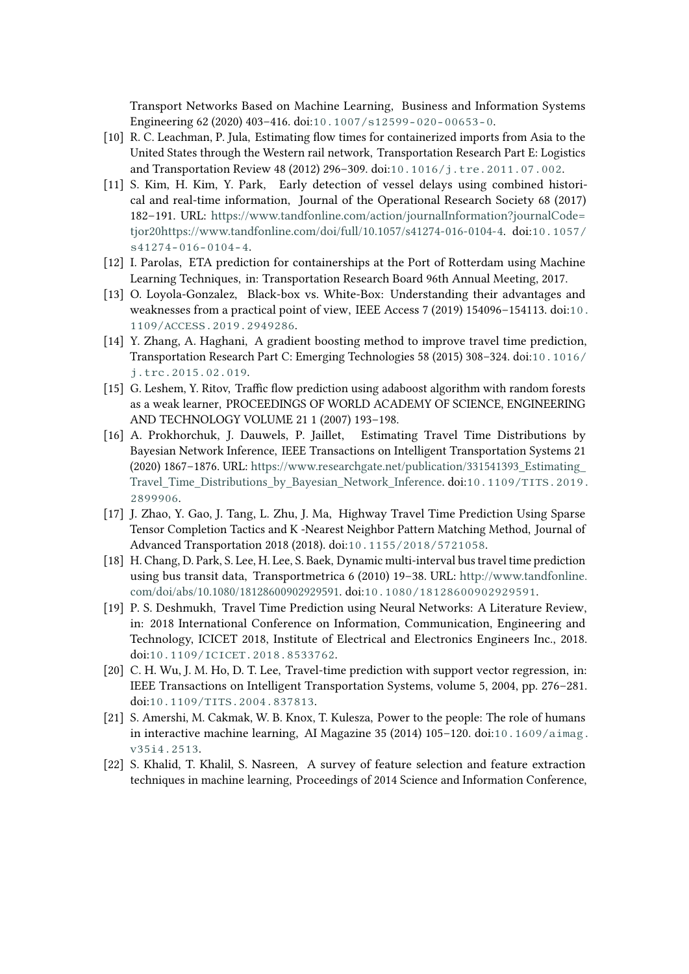Transport Networks Based on Machine Learning, Business and Information Systems Engineering 62 (2020) 403–416. doi:[10.1007/s12599-020-00653-0](http://dx.doi.org/10.1007/s12599-020-00653-0).

- <span id="page-12-0"></span>[10] R. C. Leachman, P. Jula, Estimating flow times for containerized imports from Asia to the United States through the Western rail network, Transportation Research Part E: Logistics and Transportation Review 48 (2012) 296–309. doi:[10.1016/j.tre.2011.07.002](http://dx.doi.org/10.1016/j.tre.2011.07.002).
- <span id="page-12-1"></span>[11] S. Kim, H. Kim, Y. Park, Early detection of vessel delays using combined historical and real-time information, Journal of the Operational Research Society 68 (2017) 182–191. URL: [https://www.tandfonline.com/action/journalInformation?journalCode=](https://www.tandfonline.com/action/journalInformation?journalCode=tjor20 https://www.tandfonline.com/doi/full/10.1057/s41274-016-0104-4) [tjor20https://www.tandfonline.com/doi/full/10.1057/s41274-016-0104-4.](https://www.tandfonline.com/action/journalInformation?journalCode=tjor20 https://www.tandfonline.com/doi/full/10.1057/s41274-016-0104-4) doi:[10.1057/](http://dx.doi.org/10.1057/s41274-016-0104-4) [s41274-016-0104-4](http://dx.doi.org/10.1057/s41274-016-0104-4).
- <span id="page-12-2"></span>[12] I. Parolas, ETA prediction for containerships at the Port of Rotterdam using Machine Learning Techniques, in: Transportation Research Board 96th Annual Meeting, 2017.
- <span id="page-12-3"></span>[13] O. Loyola-Gonzalez, Black-box vs. White-Box: Understanding their advantages and weaknesses from a practical point of view, IEEE Access 7 (2019) 154096–154113. doi:[10.](http://dx.doi.org/10.1109/ACCESS.2019.2949286) [1109/ACCESS.2019.2949286](http://dx.doi.org/10.1109/ACCESS.2019.2949286).
- <span id="page-12-4"></span>[14] Y. Zhang, A. Haghani, A gradient boosting method to improve travel time prediction, Transportation Research Part C: Emerging Technologies 58 (2015) 308–324. doi:[10.1016/](http://dx.doi.org/10.1016/j.trc.2015.02.019) [j.trc.2015.02.019](http://dx.doi.org/10.1016/j.trc.2015.02.019).
- <span id="page-12-5"></span>[15] G. Leshem, Y. Ritov, Traffic flow prediction using adaboost algorithm with random forests as a weak learner, PROCEEDINGS OF WORLD ACADEMY OF SCIENCE, ENGINEERING AND TECHNOLOGY VOLUME 21 1 (2007) 193–198.
- <span id="page-12-6"></span>[16] A. Prokhorchuk, J. Dauwels, P. Jaillet, Estimating Travel Time Distributions by Bayesian Network Inference, IEEE Transactions on Intelligent Transportation Systems 21 (2020) 1867–1876. URL: [https://www.researchgate.net/publication/331541393\\_Estimating\\_](https://www.researchgate.net/publication/331541393_Estimating_Travel_Time_Distributions_by_Bayesian_Network_Inference) [Travel\\_Time\\_Distributions\\_by\\_Bayesian\\_Network\\_Inference.](https://www.researchgate.net/publication/331541393_Estimating_Travel_Time_Distributions_by_Bayesian_Network_Inference) doi:[10.1109/TITS.2019.](http://dx.doi.org/10.1109/TITS.2019.2899906) [2899906](http://dx.doi.org/10.1109/TITS.2019.2899906).
- <span id="page-12-7"></span>[17] J. Zhao, Y. Gao, J. Tang, L. Zhu, J. Ma, Highway Travel Time Prediction Using Sparse Tensor Completion Tactics and K -Nearest Neighbor Pattern Matching Method, Journal of Advanced Transportation 2018 (2018). doi:[10.1155/2018/5721058](http://dx.doi.org/10.1155/2018/5721058).
- <span id="page-12-8"></span>[18] H. Chang, D. Park, S. Lee, H. Lee, S. Baek, Dynamic multi-interval bus travel time prediction using bus transit data, Transportmetrica 6 (2010) 19–38. URL: [http://www.tandfonline.](http://www.tandfonline.com/doi/abs/10.1080/18128600902929591) [com/doi/abs/10.1080/18128600902929591.](http://www.tandfonline.com/doi/abs/10.1080/18128600902929591) doi:[10.1080/18128600902929591](http://dx.doi.org/10.1080/18128600902929591).
- <span id="page-12-9"></span>[19] P. S. Deshmukh, Travel Time Prediction using Neural Networks: A Literature Review, in: 2018 International Conference on Information, Communication, Engineering and Technology, ICICET 2018, Institute of Electrical and Electronics Engineers Inc., 2018. doi:[10.1109/ICICET.2018.8533762](http://dx.doi.org/10.1109/ICICET.2018.8533762).
- <span id="page-12-10"></span>[20] C. H. Wu, J. M. Ho, D. T. Lee, Travel-time prediction with support vector regression, in: IEEE Transactions on Intelligent Transportation Systems, volume 5, 2004, pp. 276–281. doi:[10.1109/TITS.2004.837813](http://dx.doi.org/10.1109/TITS.2004.837813).
- <span id="page-12-11"></span>[21] S. Amershi, M. Cakmak, W. B. Knox, T. Kulesza, Power to the people: The role of humans in interactive machine learning, AI Magazine 35 (2014) 105–120. doi:[10.1609/aimag.](http://dx.doi.org/10.1609/aimag.v35i4.2513) [v35i4.2513](http://dx.doi.org/10.1609/aimag.v35i4.2513).
- <span id="page-12-12"></span>[22] S. Khalid, T. Khalil, S. Nasreen, A survey of feature selection and feature extraction techniques in machine learning, Proceedings of 2014 Science and Information Conference,